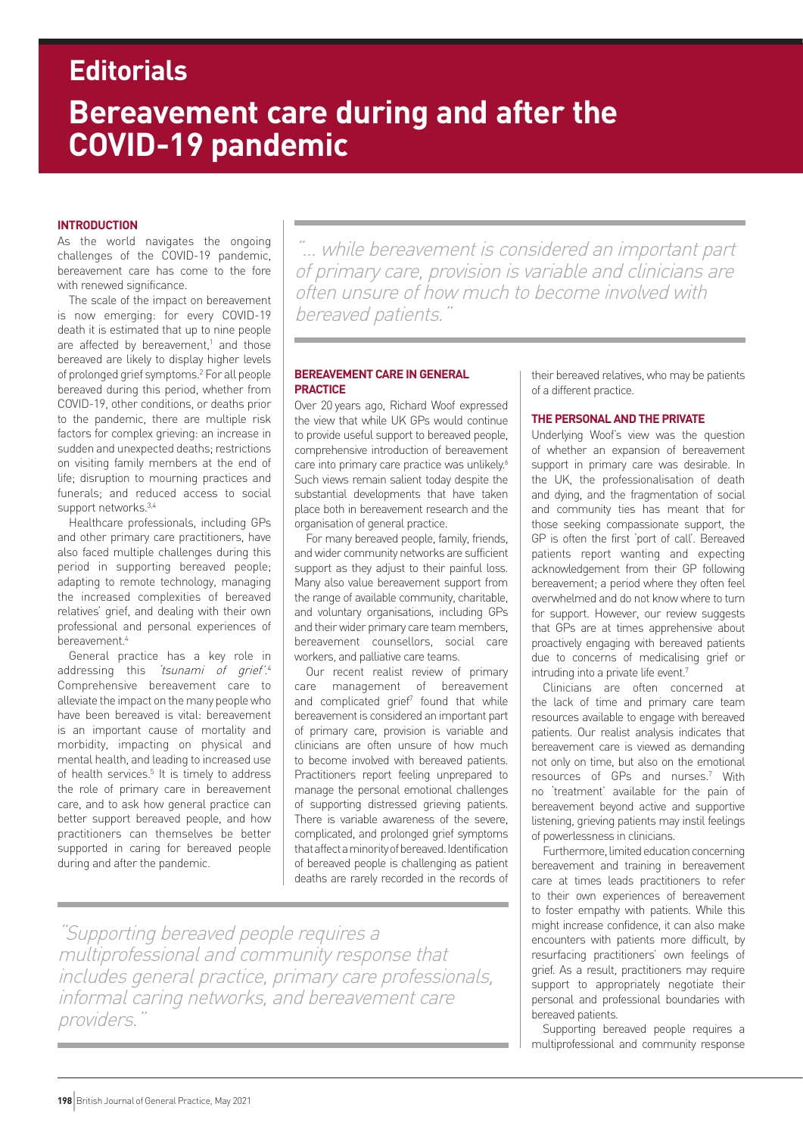# **Bereavement care during and after the COVID-19 pandemic Editorials**

# **INTRODUCTION**

As the world navigates the ongoing challenges of the COVID-19 pandemic, bereavement care has come to the fore with renewed significance.

The scale of the impact on bereavement is now emerging: for every COVID-19 death it is estimated that up to nine people are affected by bereavement, $1$  and those bereaved are likely to display higher levels of prolonged grief symptoms.2 For all people bereaved during this period, whether from COVID-19, other conditions, or deaths prior to the pandemic, there are multiple risk factors for complex grieving: an increase in sudden and unexpected deaths; restrictions on visiting family members at the end of life; disruption to mourning practices and funerals; and reduced access to social support networks.3,4

Healthcare professionals, including GPs and other primary care practitioners, have also faced multiple challenges during this period in supporting bereaved people; adapting to remote technology, managing the increased complexities of bereaved relatives' grief, and dealing with their own professional and personal experiences of  $b$ ereavement<sup>4</sup>

General practice has a key role in addressing this *'tsunami of grief'*.<sup>4</sup> Comprehensive bereavement care to alleviate the impact on the many people who have been bereaved is vital: bereavement is an important cause of mortality and morbidity, impacting on physical and mental health, and leading to increased use of health services.<sup>5</sup> It is timely to address the role of primary care in bereavement care, and to ask how general practice can better support bereaved people, and how practitioners can themselves be better supported in caring for bereaved people during and after the pandemic.

"... while bereavement is considered an important part of primary care, provision is variable and clinicians are often unsure of how much to become involved with bereaved patients."

# **BEREAVEMENT CARE IN GENERAL PRACTICE**

Over 20 years ago, Richard Woof expressed the view that while UK GPs would continue to provide useful support to bereaved people, comprehensive introduction of bereavement care into primary care practice was unlikely.<sup>6</sup> Such views remain salient today despite the substantial developments that have taken place both in bereavement research and the organisation of general practice.

For many bereaved people, family, friends, and wider community networks are sufficient support as they adjust to their painful loss. Many also value bereavement support from the range of available community, charitable, and voluntary organisations, including GPs and their wider primary care team members, bereavement counsellors, social care workers, and palliative care teams.

Our recent realist review of primary care management of bereavement and complicated grief<sup>7</sup> found that while bereavement is considered an important part of primary care, provision is variable and clinicians are often unsure of how much to become involved with bereaved patients. Practitioners report feeling unprepared to manage the personal emotional challenges of supporting distressed grieving patients. There is variable awareness of the severe, complicated, and prolonged grief symptoms that affect a minority of bereaved. Identification of bereaved people is challenging as patient deaths are rarely recorded in the records of

"Supporting bereaved people requires a multiprofessional and community response that includes general practice, primary care professionals, informal caring networks, and bereavement care providers.

their bereaved relatives, who may be patients of a different practice.

# **THE PERSONAL AND THE PRIVATE**

Underlying Woof's view was the question of whether an expansion of bereavement support in primary care was desirable. In the UK, the professionalisation of death and dying, and the fragmentation of social and community ties has meant that for those seeking compassionate support, the GP is often the first 'port of call'. Bereaved patients report wanting and expecting acknowledgement from their GP following bereavement; a period where they often feel overwhelmed and do not know where to turn for support. However, our review suggests that GPs are at times apprehensive about proactively engaging with bereaved patients due to concerns of medicalising grief or intruding into a private life event.<sup>7</sup>

Clinicians are often concerned at the lack of time and primary care team resources available to engage with bereaved patients. Our realist analysis indicates that bereavement care is viewed as demanding not only on time, but also on the emotional resources of GPs and nurses.7 With no 'treatment' available for the pain of bereavement beyond active and supportive listening, grieving patients may instil feelings of powerlessness in clinicians.

Furthermore, limited education concerning bereavement and training in bereavement care at times leads practitioners to refer to their own experiences of bereavement to foster empathy with patients. While this might increase confidence, it can also make encounters with patients more difficult, by resurfacing practitioners' own feelings of grief. As a result, practitioners may require support to appropriately negotiate their personal and professional boundaries with bereaved patients.

Supporting bereaved people requires a multiprofessional and community response